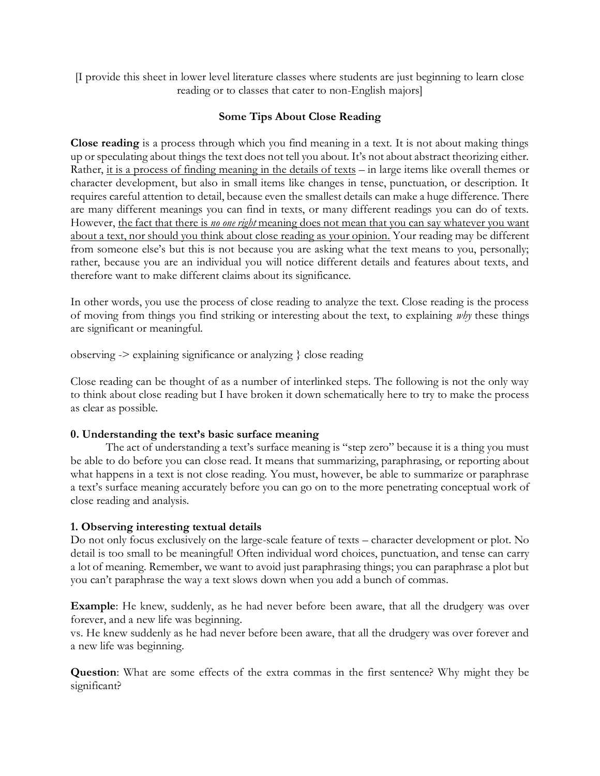[I provide this sheet in lower level literature classes where students are just beginning to learn close reading or to classes that cater to non-English majors]

# **Some Tips About Close Reading**

**Close reading** is a process through which you find meaning in a text. It is not about making things up or speculating about things the text does not tell you about. It's not about abstract theorizing either. Rather, it is a process of finding meaning in the details of texts – in large items like overall themes or character development, but also in small items like changes in tense, punctuation, or description. It requires careful attention to detail, because even the smallest details can make a huge difference. There are many different meanings you can find in texts, or many different readings you can do of texts. However, the fact that there is *no one right* meaning does not mean that you can say whatever you want about a text, nor should you think about close reading as your opinion. Your reading may be different from someone else's but this is not because you are asking what the text means to you, personally; rather, because you are an individual you will notice different details and features about texts, and therefore want to make different claims about its significance.

In other words, you use the process of close reading to analyze the text. Close reading is the process of moving from things you find striking or interesting about the text, to explaining *why* these things are significant or meaningful.

observing -> explaining significance or analyzing } close reading

Close reading can be thought of as a number of interlinked steps. The following is not the only way to think about close reading but I have broken it down schematically here to try to make the process as clear as possible.

## **0. Understanding the text's basic surface meaning**

The act of understanding a text's surface meaning is "step zero" because it is a thing you must be able to do before you can close read. It means that summarizing, paraphrasing, or reporting about what happens in a text is not close reading. You must, however, be able to summarize or paraphrase a text's surface meaning accurately before you can go on to the more penetrating conceptual work of close reading and analysis.

## **1. Observing interesting textual details**

Do not only focus exclusively on the large-scale feature of texts – character development or plot. No detail is too small to be meaningful! Often individual word choices, punctuation, and tense can carry a lot of meaning. Remember, we want to avoid just paraphrasing things; you can paraphrase a plot but you can't paraphrase the way a text slows down when you add a bunch of commas.

**Example**: He knew, suddenly, as he had never before been aware, that all the drudgery was over forever, and a new life was beginning.

vs. He knew suddenly as he had never before been aware, that all the drudgery was over forever and a new life was beginning.

**Question**: What are some effects of the extra commas in the first sentence? Why might they be significant?